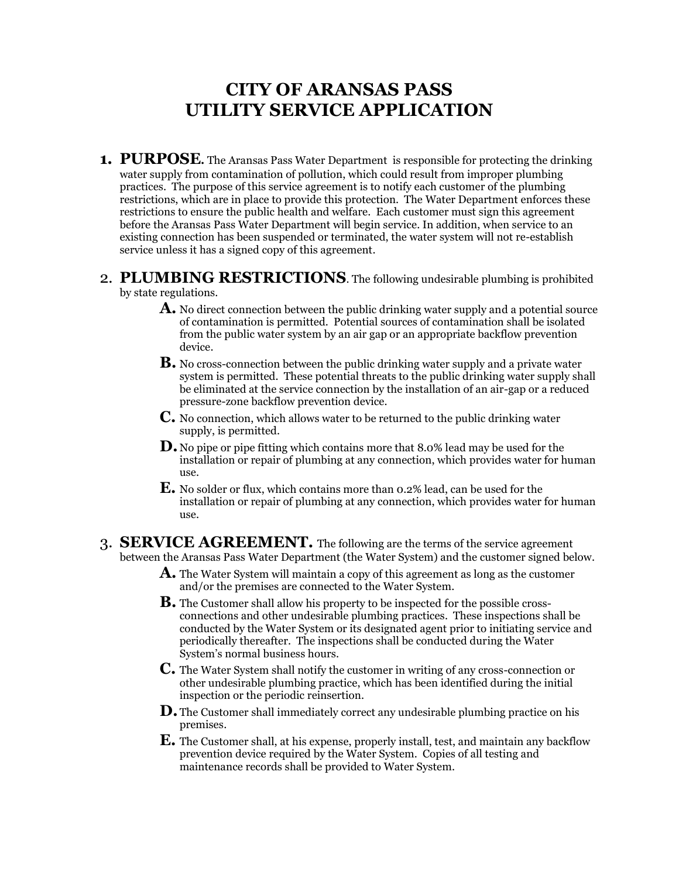## **CITY OF ARANSAS PASS UTILITY SERVICE APPLICATION**

- 1. PURPOSE. The Aransas Pass Water Department is responsible for protecting the drinking water supply from contamination of pollution, which could result from improper plumbing practices. The purpose of this service agreement is to notify each customer of the plumbing restrictions, which are in place to provide this protection. The Water Department enforces these restrictions to ensure the public health and welfare. Each customer must sign this agreement before the Aransas Pass Water Department will begin service. In addition, when service to an existing connection has been suspended or terminated, the water system will not re-establish service unless it has a signed copy of this agreement.
- 2. **PLUMBING RESTRICTIONS**. The following undesirable plumbing is prohibited by state regulations.
	- **A.** No direct connection between the public drinking water supply and a potential source of contamination is permitted. Potential sources of contamination shall be isolated from the public water system by an air gap or an appropriate backflow prevention device.
	- **B.** No cross-connection between the public drinking water supply and a private water system is permitted. These potential threats to the public drinking water supply shall be eliminated at the service connection by the installation of an air-gap or a reduced pressure-zone backflow prevention device.
	- **C.** No connection, which allows water to be returned to the public drinking water supply, is permitted.
	- **D.** No pipe or pipe fitting which contains more that 8.0% lead may be used for the installation or repair of plumbing at any connection, which provides water for human use.
	- **E.** No solder or flux, which contains more than 0.2% lead, can be used for the installation or repair of plumbing at any connection, which provides water for human use.
- 3. **SERVICE AGREEMENT.** The following are the terms of the service agreement between the Aransas Pass Water Department (the Water System) and the customer signed below.
	- **A.** The Water System will maintain a copy of this agreement as long as the customer and/or the premises are connected to the Water System.
	- **B.** The Customer shall allow his property to be inspected for the possible crossconnections and other undesirable plumbing practices. These inspections shall be conducted by the Water System or its designated agent prior to initiating service and periodically thereafter. The inspections shall be conducted during the Water System's normal business hours.
	- **C.** The Water System shall notify the customer in writing of any cross-connection or other undesirable plumbing practice, which has been identified during the initial inspection or the periodic reinsertion.
	- **D.** The Customer shall immediately correct any undesirable plumbing practice on his premises.
	- **E.** The Customer shall, at his expense, properly install, test, and maintain any backflow prevention device required by the Water System. Copies of all testing and maintenance records shall be provided to Water System.